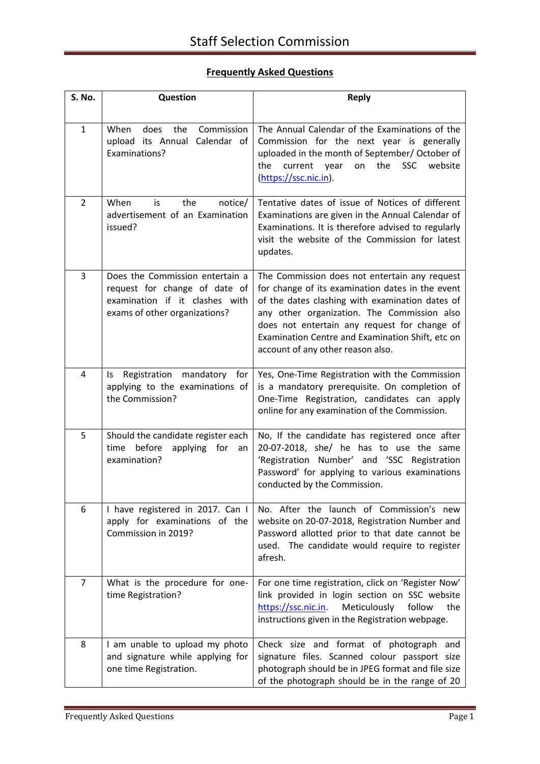## **Frequently Asked Questions**

| S. No.         | <b>Question</b>                                                                                                                     | <b>Reply</b>                                                                                                                                                                                                                                                                                                                                 |
|----------------|-------------------------------------------------------------------------------------------------------------------------------------|----------------------------------------------------------------------------------------------------------------------------------------------------------------------------------------------------------------------------------------------------------------------------------------------------------------------------------------------|
|                |                                                                                                                                     |                                                                                                                                                                                                                                                                                                                                              |
| $\mathbf{1}$   | Commission<br>When<br>does<br>the<br>upload its Annual Calendar of<br>Examinations?                                                 | The Annual Calendar of the Examinations of the<br>Commission for the next year is generally<br>uploaded in the month of September/ October of<br>the<br><b>SSC</b><br>website<br>the<br>current year<br>on<br>(https://ssc.nic.in).                                                                                                          |
| $\overline{2}$ | When<br>the<br>notice/<br>is<br>advertisement of an Examination<br>issued?                                                          | Tentative dates of issue of Notices of different<br>Examinations are given in the Annual Calendar of<br>Examinations. It is therefore advised to regularly<br>visit the website of the Commission for latest<br>updates.                                                                                                                     |
| 3              | Does the Commission entertain a<br>request for change of date of<br>examination if it clashes with<br>exams of other organizations? | The Commission does not entertain any request<br>for change of its examination dates in the event<br>of the dates clashing with examination dates of<br>any other organization. The Commission also<br>does not entertain any request for change of<br>Examination Centre and Examination Shift, etc on<br>account of any other reason also. |
| 4              | Registration mandatory for<br>ls.<br>applying to the examinations of<br>the Commission?                                             | Yes, One-Time Registration with the Commission<br>is a mandatory prerequisite. On completion of<br>One-Time Registration, candidates can apply<br>online for any examination of the Commission.                                                                                                                                              |
| 5              | Should the candidate register each<br>before<br>time<br>applying<br>for<br>an<br>examination?                                       | No, If the candidate has registered once after<br>20-07-2018, she/ he has to use the same<br>'Registration Number' and 'SSC Registration<br>Password' for applying to various examinations<br>conducted by the Commission.                                                                                                                   |
| 6              | I have registered in 2017. Can I<br>apply for examinations of the<br>Commission in 2019?                                            | No. After the launch of Commission's new<br>website on 20-07-2018, Registration Number and<br>Password allotted prior to that date cannot be<br>used. The candidate would require to register<br>afresh.                                                                                                                                     |
| $\overline{7}$ | What is the procedure for one-<br>time Registration?                                                                                | For one time registration, click on 'Register Now'<br>link provided in login section on SSC website<br>https://ssc.nic.in.<br>Meticulously<br>follow<br>the<br>instructions given in the Registration webpage.                                                                                                                               |
| 8              | I am unable to upload my photo<br>and signature while applying for<br>one time Registration.                                        | Check size and format of photograph and<br>signature files. Scanned colour passport size<br>photograph should be in JPEG format and file size<br>of the photograph should be in the range of 20                                                                                                                                              |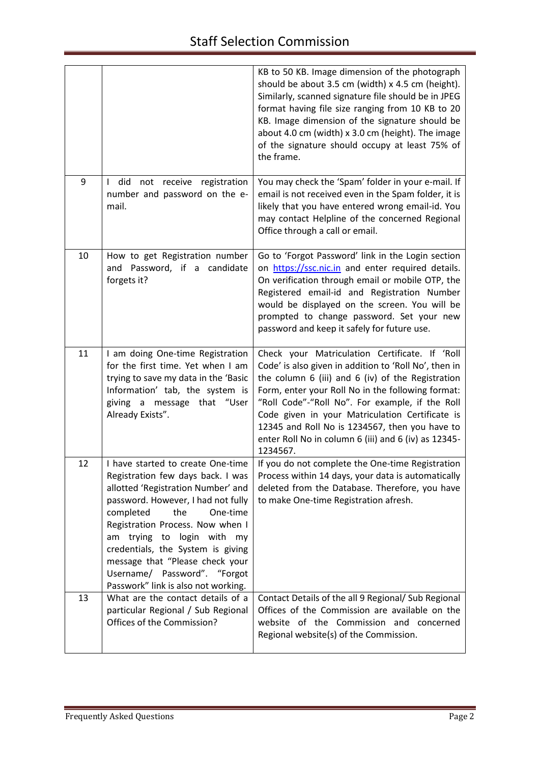|    |                                                                                                                                                                                                                                                                                                                                                                                                     | KB to 50 KB. Image dimension of the photograph<br>should be about 3.5 cm (width) x 4.5 cm (height).<br>Similarly, scanned signature file should be in JPEG<br>format having file size ranging from 10 KB to 20<br>KB. Image dimension of the signature should be<br>about 4.0 cm (width) x 3.0 cm (height). The image<br>of the signature should occupy at least 75% of<br>the frame.                                                         |
|----|-----------------------------------------------------------------------------------------------------------------------------------------------------------------------------------------------------------------------------------------------------------------------------------------------------------------------------------------------------------------------------------------------------|-----------------------------------------------------------------------------------------------------------------------------------------------------------------------------------------------------------------------------------------------------------------------------------------------------------------------------------------------------------------------------------------------------------------------------------------------|
| 9  | I did not receive registration<br>number and password on the e-<br>mail.                                                                                                                                                                                                                                                                                                                            | You may check the 'Spam' folder in your e-mail. If<br>email is not received even in the Spam folder, it is<br>likely that you have entered wrong email-id. You<br>may contact Helpline of the concerned Regional<br>Office through a call or email.                                                                                                                                                                                           |
| 10 | How to get Registration number<br>and Password, if a candidate<br>forgets it?                                                                                                                                                                                                                                                                                                                       | Go to 'Forgot Password' link in the Login section<br>on https://ssc.nic.in and enter required details.<br>On verification through email or mobile OTP, the<br>Registered email-id and Registration Number<br>would be displayed on the screen. You will be<br>prompted to change password. Set your new<br>password and keep it safely for future use.                                                                                        |
| 11 | I am doing One-time Registration<br>for the first time. Yet when I am<br>trying to save my data in the 'Basic<br>Information' tab, the system is<br>message that "User<br>giving a<br>Already Exists".                                                                                                                                                                                              | Check your Matriculation Certificate. If 'Roll<br>Code' is also given in addition to 'Roll No', then in<br>the column 6 (iii) and 6 (iv) of the Registration<br>Form, enter your Roll No in the following format:<br>"Roll Code"-"Roll No". For example, if the Roll<br>Code given in your Matriculation Certificate is<br>12345 and Roll No is 1234567, then you have to<br>enter Roll No in column 6 (iii) and 6 (iv) as 12345-<br>1234567. |
| 12 | I have started to create One-time<br>Registration few days back. I was<br>allotted 'Registration Number' and<br>password. However, I had not fully<br>completed<br>the<br>One-time<br>Registration Process. Now when I<br>am trying to login with my<br>credentials, the System is giving<br>message that "Please check your<br>Username/ Password". "Forgot<br>Passwork" link is also not working. | If you do not complete the One-time Registration<br>Process within 14 days, your data is automatically<br>deleted from the Database. Therefore, you have<br>to make One-time Registration afresh.                                                                                                                                                                                                                                             |
| 13 | What are the contact details of a<br>particular Regional / Sub Regional<br>Offices of the Commission?                                                                                                                                                                                                                                                                                               | Contact Details of the all 9 Regional/ Sub Regional<br>Offices of the Commission are available on the<br>website of the Commission and concerned<br>Regional website(s) of the Commission.                                                                                                                                                                                                                                                    |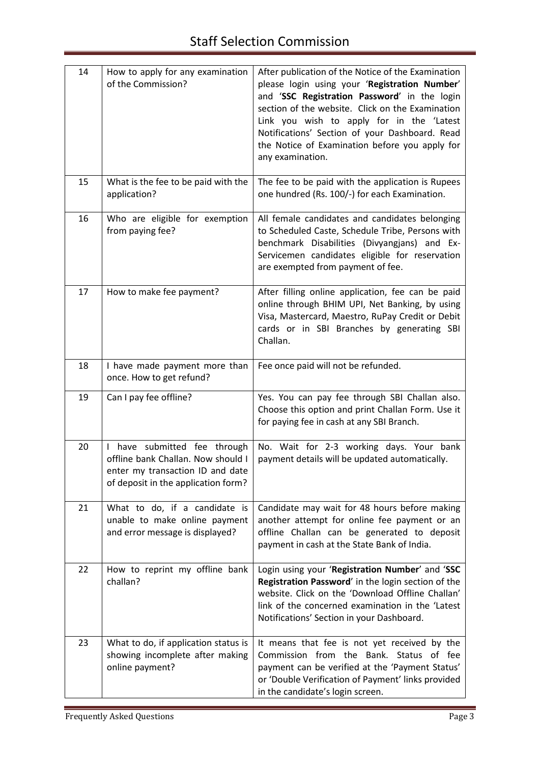| 14 | How to apply for any examination<br>of the Commission?                                                                                        | After publication of the Notice of the Examination<br>please login using your 'Registration Number'<br>and 'SSC Registration Password' in the login<br>section of the website. Click on the Examination<br>Link you wish to apply for in the 'Latest<br>Notifications' Section of your Dashboard. Read<br>the Notice of Examination before you apply for<br>any examination. |
|----|-----------------------------------------------------------------------------------------------------------------------------------------------|------------------------------------------------------------------------------------------------------------------------------------------------------------------------------------------------------------------------------------------------------------------------------------------------------------------------------------------------------------------------------|
| 15 | What is the fee to be paid with the<br>application?                                                                                           | The fee to be paid with the application is Rupees<br>one hundred (Rs. 100/-) for each Examination.                                                                                                                                                                                                                                                                           |
| 16 | Who are eligible for exemption<br>from paying fee?                                                                                            | All female candidates and candidates belonging<br>to Scheduled Caste, Schedule Tribe, Persons with<br>benchmark Disabilities (Divyangjans) and Ex-<br>Servicemen candidates eligible for reservation<br>are exempted from payment of fee.                                                                                                                                    |
| 17 | How to make fee payment?                                                                                                                      | After filling online application, fee can be paid<br>online through BHIM UPI, Net Banking, by using<br>Visa, Mastercard, Maestro, RuPay Credit or Debit<br>cards or in SBI Branches by generating SBI<br>Challan.                                                                                                                                                            |
| 18 | I have made payment more than<br>once. How to get refund?                                                                                     | Fee once paid will not be refunded.                                                                                                                                                                                                                                                                                                                                          |
| 19 | Can I pay fee offline?                                                                                                                        | Yes. You can pay fee through SBI Challan also.<br>Choose this option and print Challan Form. Use it<br>for paying fee in cash at any SBI Branch.                                                                                                                                                                                                                             |
| 20 | I have submitted fee through<br>offline bank Challan. Now should I<br>enter my transaction ID and date<br>of deposit in the application form? | No. Wait for 2-3 working days. Your bank<br>payment details will be updated automatically.                                                                                                                                                                                                                                                                                   |
| 21 | What to do, if a candidate is<br>unable to make online payment<br>and error message is displayed?                                             | Candidate may wait for 48 hours before making<br>another attempt for online fee payment or an<br>offline Challan can be generated to deposit<br>payment in cash at the State Bank of India.                                                                                                                                                                                  |
| 22 | How to reprint my offline bank<br>challan?                                                                                                    | Login using your 'Registration Number' and 'SSC<br>Registration Password' in the login section of the<br>website. Click on the 'Download Offline Challan'<br>link of the concerned examination in the 'Latest<br>Notifications' Section in your Dashboard.                                                                                                                   |
| 23 | What to do, if application status is<br>showing incomplete after making<br>online payment?                                                    | It means that fee is not yet received by the<br>Commission from the Bank. Status of fee<br>payment can be verified at the 'Payment Status'<br>or 'Double Verification of Payment' links provided<br>in the candidate's login screen.                                                                                                                                         |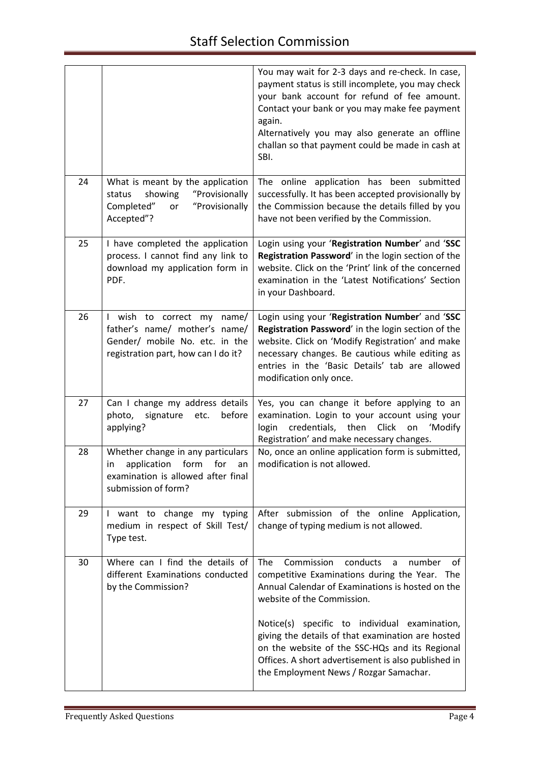|    |                                                                                                                                          | You may wait for 2-3 days and re-check. In case,<br>payment status is still incomplete, you may check<br>your bank account for refund of fee amount.<br>Contact your bank or you may make fee payment<br>again.<br>Alternatively you may also generate an offline<br>challan so that payment could be made in cash at<br>SBI.                                                                                                                  |
|----|------------------------------------------------------------------------------------------------------------------------------------------|------------------------------------------------------------------------------------------------------------------------------------------------------------------------------------------------------------------------------------------------------------------------------------------------------------------------------------------------------------------------------------------------------------------------------------------------|
| 24 | What is meant by the application<br>showing<br>"Provisionally<br>status<br>"Provisionally<br>Completed"<br>or<br>Accepted"?              | The online application has been submitted<br>successfully. It has been accepted provisionally by<br>the Commission because the details filled by you<br>have not been verified by the Commission.                                                                                                                                                                                                                                              |
| 25 | I have completed the application<br>process. I cannot find any link to<br>download my application form in<br>PDF.                        | Login using your 'Registration Number' and 'SSC<br>Registration Password' in the login section of the<br>website. Click on the 'Print' link of the concerned<br>examination in the 'Latest Notifications' Section<br>in your Dashboard.                                                                                                                                                                                                        |
| 26 | I wish to correct my name/<br>father's name/ mother's name/<br>Gender/ mobile No. etc. in the<br>registration part, how can I do it?     | Login using your 'Registration Number' and 'SSC<br>Registration Password' in the login section of the<br>website. Click on 'Modify Registration' and make<br>necessary changes. Be cautious while editing as<br>entries in the 'Basic Details' tab are allowed<br>modification only once.                                                                                                                                                      |
| 27 | Can I change my address details<br>before<br>photo,<br>signature<br>etc.<br>applying?                                                    | Yes, you can change it before applying to an<br>examination. Login to your account using your<br>credentials, then Click<br>login<br>'Modify<br>on<br>Registration' and make necessary changes.                                                                                                                                                                                                                                                |
| 28 | Whether change in any particulars<br>application<br>form<br>for<br>in<br>an<br>examination is allowed after final<br>submission of form? | No, once an online application form is submitted,<br>modification is not allowed.                                                                                                                                                                                                                                                                                                                                                              |
| 29 | I want to change my typing<br>medium in respect of Skill Test/<br>Type test.                                                             | After submission of the online Application,<br>change of typing medium is not allowed.                                                                                                                                                                                                                                                                                                                                                         |
| 30 | Where can I find the details of<br>different Examinations conducted<br>by the Commission?                                                | Commission<br>conducts<br>The<br>number<br>a<br>of<br>competitive Examinations during the Year. The<br>Annual Calendar of Examinations is hosted on the<br>website of the Commission.<br>Notice(s) specific to individual examination,<br>giving the details of that examination are hosted<br>on the website of the SSC-HQs and its Regional<br>Offices. A short advertisement is also published in<br>the Employment News / Rozgar Samachar. |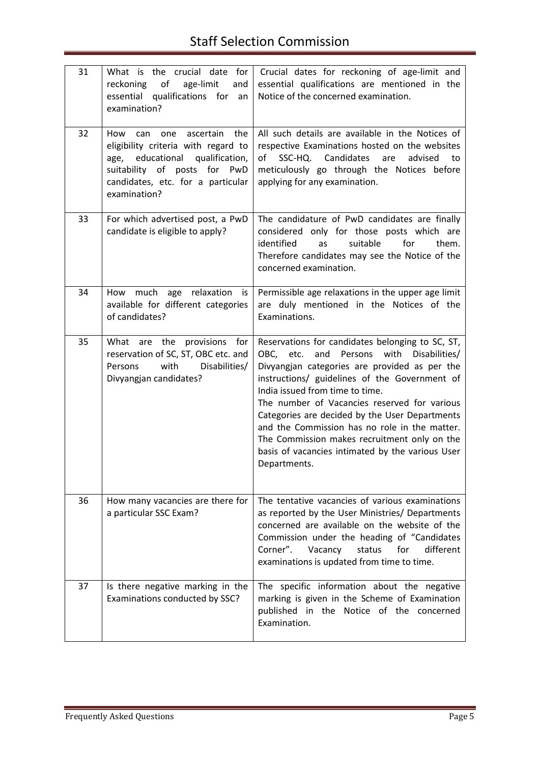| 31 | What is the crucial date for<br>of<br>reckoning<br>age-limit<br>and<br>essential qualifications for<br>an<br>examination?                                                                         | Crucial dates for reckoning of age-limit and<br>essential qualifications are mentioned in the<br>Notice of the concerned examination.                                                                                                                                                                                                                                                                                                                                                                                |
|----|---------------------------------------------------------------------------------------------------------------------------------------------------------------------------------------------------|----------------------------------------------------------------------------------------------------------------------------------------------------------------------------------------------------------------------------------------------------------------------------------------------------------------------------------------------------------------------------------------------------------------------------------------------------------------------------------------------------------------------|
| 32 | ascertain<br>How<br>the<br>can one<br>eligibility criteria with regard to<br>age, educational qualification,<br>suitability of posts for PwD<br>candidates, etc. for a particular<br>examination? | All such details are available in the Notices of<br>respective Examinations hosted on the websites<br>of SSC-HQ. Candidates<br>are<br>advised<br>to<br>meticulously go through the Notices before<br>applying for any examination.                                                                                                                                                                                                                                                                                   |
| 33 | For which advertised post, a PwD<br>candidate is eligible to apply?                                                                                                                               | The candidature of PwD candidates are finally<br>considered only for those posts which are<br>identified<br>suitable<br>for<br>as<br>them.<br>Therefore candidates may see the Notice of the<br>concerned examination.                                                                                                                                                                                                                                                                                               |
| 34 | How much<br>age relaxation is<br>available for different categories<br>of candidates?                                                                                                             | Permissible age relaxations in the upper age limit<br>are duly mentioned in the Notices of the<br>Examinations.                                                                                                                                                                                                                                                                                                                                                                                                      |
| 35 | What are the provisions for<br>reservation of SC, ST, OBC etc. and<br>with<br>Disabilities/<br>Persons<br>Divyangjan candidates?                                                                  | Reservations for candidates belonging to SC, ST,<br>and<br>Persons<br>with<br>OBC, etc.<br>Disabilities/<br>Divyangjan categories are provided as per the<br>instructions/ guidelines of the Government of<br>India issued from time to time.<br>The number of Vacancies reserved for various<br>Categories are decided by the User Departments<br>and the Commission has no role in the matter.<br>The Commission makes recruitment only on the<br>basis of vacancies intimated by the various User<br>Departments. |
| 36 | How many vacancies are there for<br>a particular SSC Exam?                                                                                                                                        | The tentative vacancies of various examinations<br>as reported by the User Ministries/ Departments<br>concerned are available on the website of the<br>Commission under the heading of "Candidates<br>different<br>Corner".<br>for<br>Vacancy<br>status<br>examinations is updated from time to time.                                                                                                                                                                                                                |
| 37 | Is there negative marking in the<br>Examinations conducted by SSC?                                                                                                                                | The specific information about the negative<br>marking is given in the Scheme of Examination<br>published in the Notice of the concerned<br>Examination.                                                                                                                                                                                                                                                                                                                                                             |